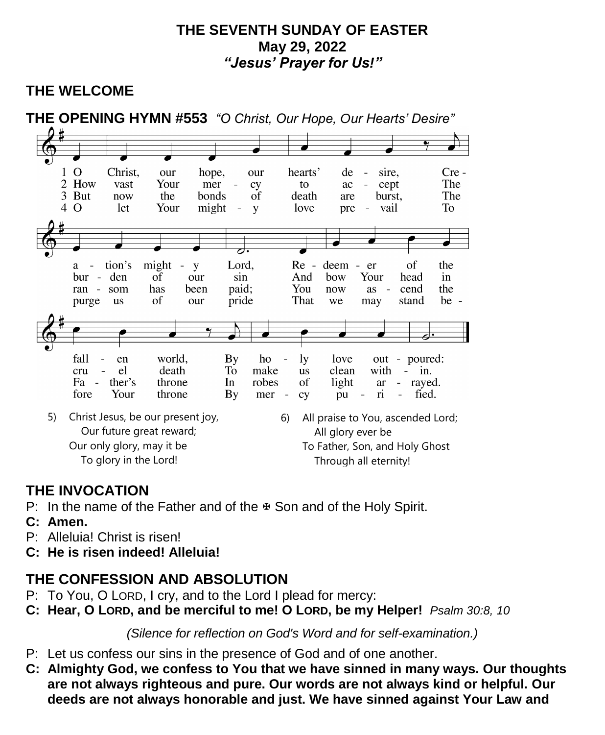#### **THE SEVENTH SUNDAY OF EASTER May 29, 2022** *"Jesus' Prayer for Us!"*

# **THE WELCOME**



# **THE INVOCATION**

- P: In the name of the Father and of the  $\Phi$  Son and of the Holy Spirit.
- **C: Amen.**
- P: Alleluia! Christ is risen!
- **C: He is risen indeed! Alleluia!**

# **THE CONFESSION AND ABSOLUTION**

- P: To You, O LORD, I cry, and to the Lord I plead for mercy:
- **C: Hear, O LORD, and be merciful to me! O LORD, be my Helper!** *Psalm 30:8, 10*

*(Silence for reflection on God's Word and for self-examination.)*

- P: Let us confess our sins in the presence of God and of one another.
- **C: Almighty God, we confess to You that we have sinned in many ways. Our thoughts are not always righteous and pure. Our words are not always kind or helpful. Our deeds are not always honorable and just. We have sinned against Your Law and**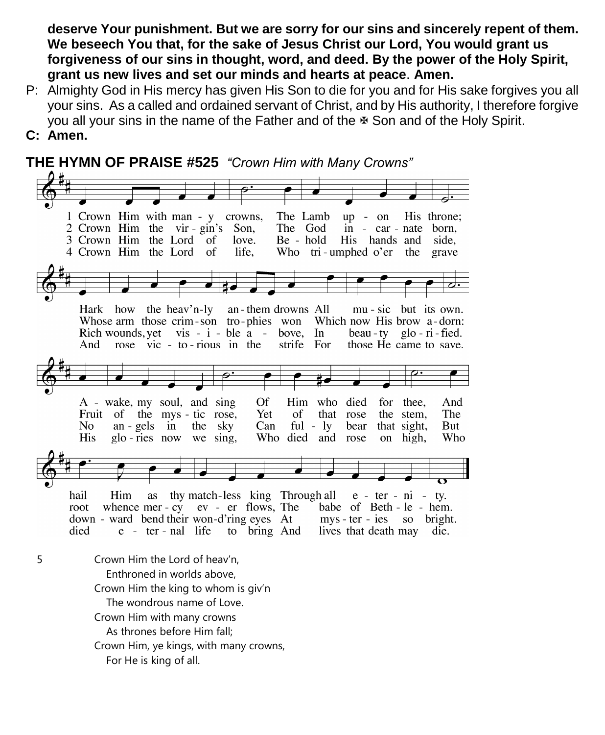**deserve Your punishment. But we are sorry for our sins and sincerely repent of them. We beseech You that, for the sake of Jesus Christ our Lord, You would grant us forgiveness of our sins in thought, word, and deed. By the power of the Holy Spirit, grant us new lives and set our minds and hearts at peace**. **Amen.**

- P: Almighty God in His mercy has given His Son to die for you and for His sake forgives you all your sins. As a called and ordained servant of Christ, and by His authority, I therefore forgive you all your sins in the name of the Father and of the  $\mathbb F$  Son and of the Holy Spirit.
- **C: Amen.**

**THE HYMN OF PRAISE #525** *"Crown Him with Many Crowns"* 1 Crown Him with man - y crowns, The Lamb  $up - on$ His throne; 2 Crown Him the vir - gin's Son, The God in - car - nate born, 3 Crown Him the Lord of Be - hold His hands and love. side, 4 Crown Him the Lord life. Who tri-umphed o'er <sup>of</sup> the grave Hark how the heav'n-ly an-them drowns All mu - sic but its own. Whose arm those crim-son tro-phies won Which now His brow a-dorn: Rich wounds, yet vis -  $i$  - ble  $a$  - bove, In beau - tv glo - ri - fied. strife For And rose  $\vec{v}$  vic - to - rious in the those He came to save. Of Him who died for thee. A - wake, my soul, and sing And Fruit of the mys-tic rose, Yet of that rose the stem. **The** N<sub>o</sub>  $an - gels$  in the sky  $Can$ ful -  $ly$ bear that sight, But **His** glo-ries now we sing. Who died and rose Who on high. hail Him as thy match-less king Through all  $e$  - ter - ni - ty. ev - er flows, The root whence mer - cy babe of Beth - le - hem. down - ward bend their won-d'ring eyes At mys-ter-ies so bright. died  $e$  - ter - nal life to bring And lives that death may die. 5 Crown Him the Lord of heav'n, Enthroned in worlds above, Crown Him the king to whom is giv'n The wondrous name of Love. Crown Him with many crowns As thrones before Him fall; Crown Him, ye kings, with many crowns, For He is king of all.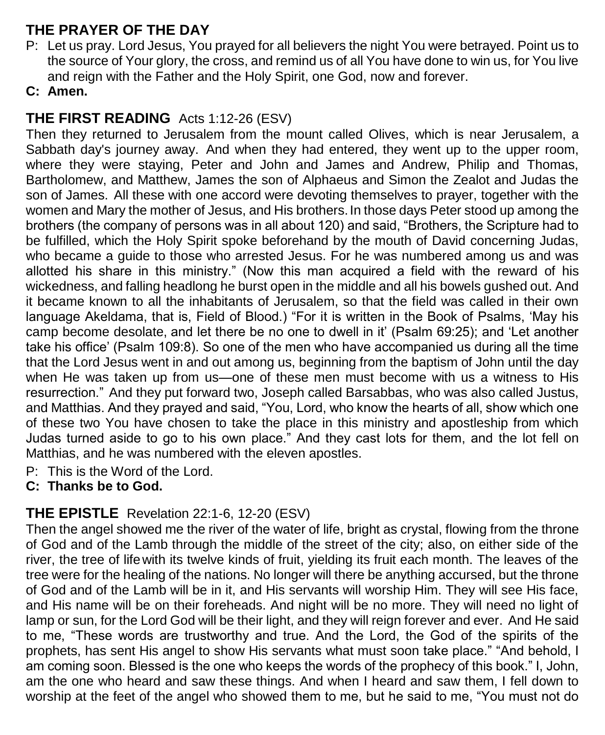# **THE PRAYER OF THE DAY**

P: Let us pray. Lord Jesus, You prayed for all believers the night You were betrayed. Point us to the source of Your glory, the cross, and remind us of all You have done to win us, for You live and reign with the Father and the Holy Spirit, one God, now and forever.

#### **C: Amen.**

# **THE FIRST READING** Acts 1:12-26 (ESV)

Then they returned to Jerusalem from the mount called Olives, which is near Jerusalem, a Sabbath day's journey away. And when they had entered, they went up to the upper room, where they were staying, Peter and John and James and Andrew, Philip and Thomas, Bartholomew, and Matthew, James the son of Alphaeus and Simon the Zealot and Judas the son of James. All these with one accord were devoting themselves to prayer, together with the women and Mary the mother of Jesus, and His brothers. In those days Peter stood up among the brothers (the company of persons was in all about 120) and said, "Brothers, the Scripture had to be fulfilled, which the Holy Spirit spoke beforehand by the mouth of David concerning Judas, who became a guide to those who arrested Jesus. For he was numbered among us and was allotted his share in this ministry." (Now this man acquired a field with the reward of his wickedness, and falling headlong he burst open in the middle and all his bowels gushed out. And it became known to all the inhabitants of Jerusalem, so that the field was called in their own language Akeldama, that is, Field of Blood.) "For it is written in the Book of Psalms, 'May his camp become desolate, and let there be no one to dwell in it' (Psalm 69:25); and 'Let another take his office' (Psalm 109:8). So one of the men who have accompanied us during all the time that the Lord Jesus went in and out among us, beginning from the baptism of John until the day when He was taken up from us—one of these men must become with us a witness to His resurrection." And they put forward two, Joseph called Barsabbas, who was also called Justus, and Matthias. And they prayed and said, "You, Lord, who know the hearts of all, show which one of these two You have chosen to take the place in this ministry and apostleship from which Judas turned aside to go to his own place." And they cast lots for them, and the lot fell on Matthias, and he was numbered with the eleven apostles.

P: This is the Word of the Lord.

# **C: Thanks be to God.**

# **THE EPISTLE** Revelation 22:1-6, 12-20 (ESV)

Then the angel showed me the river of the water of life, bright as crystal, flowing from the throne of God and of the Lamb through the middle of the street of the city; also, on either side of the river, the tree of lifewith its twelve kinds of fruit, yielding its fruit each month. The leaves of the tree were for the healing of the nations. No longer will there be anything accursed, but the throne of God and of the Lamb will be in it, and His servants will worship Him. They will see His face, and His name will be on their foreheads. And night will be no more. They will need no light of lamp or sun, for the Lord God will be their light, and they will reign forever and ever. And He said to me, "These words are trustworthy and true. And the Lord, the God of the spirits of the prophets, has sent His angel to show His servants what must soon take place." "And behold, I am coming soon. Blessed is the one who keeps the words of the prophecy of this book." I, John, am the one who heard and saw these things. And when I heard and saw them, I fell down to worship at the feet of the angel who showed them to me, but he said to me, "You must not do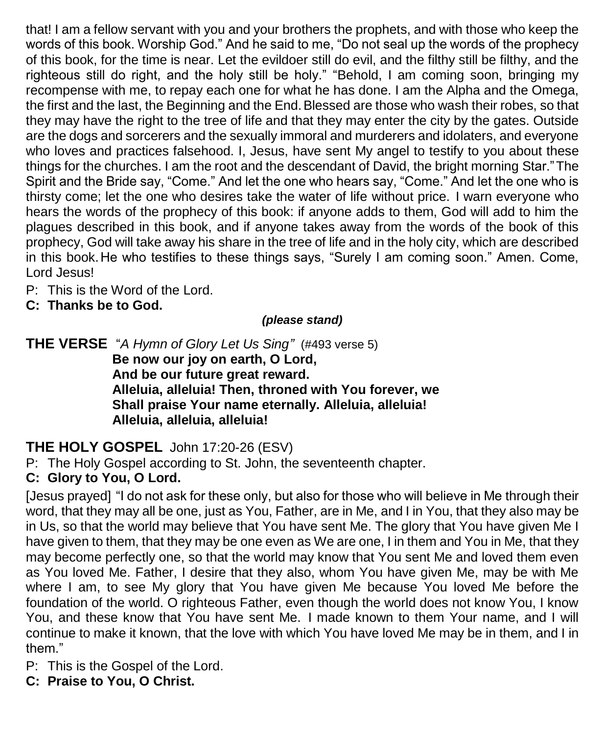that! I am a fellow servant with you and your brothers the prophets, and with those who keep the words of this book. Worship God." And he said to me, "Do not seal up the words of the prophecy of this book, for the time is near. Let the evildoer still do evil, and the filthy still be filthy, and the righteous still do right, and the holy still be holy." "Behold, I am coming soon, bringing my recompense with me, to repay each one for what he has done. I am the Alpha and the Omega, the first and the last, the Beginning and the End. Blessed are those who wash their robes, so that they may have the right to the tree of life and that they may enter the city by the gates. Outside are the dogs and sorcerers and the sexually immoral and murderers and idolaters, and everyone who loves and practices falsehood. I, Jesus, have sent My angel to testify to you about these things for the churches. I am the root and the descendant of David, the bright morning Star."The Spirit and the Bride say, "Come." And let the one who hears say, "Come." And let the one who is thirsty come; let the one who desires take the water of life without price. I warn everyone who hears the words of the prophecy of this book: if anyone adds to them, God will add to him the plagues described in this book, and if anyone takes away from the words of the book of this prophecy, God will take away his share in the tree of life and in the holy city, which are described in this book.He who testifies to these things says, "Surely I am coming soon." Amen. Come, Lord Jesus!

- P: This is the Word of the Lord.
- **C: Thanks be to God.**

#### *(please stand)*

**THE VERSE** "*A Hymn of Glory Let Us Sing"* (#493 verse 5) **Be now our joy on earth, O Lord, And be our future great reward. Alleluia, alleluia! Then, throned with You forever, we Shall praise Your name eternally. Alleluia, alleluia! Alleluia, alleluia, alleluia!**

# **THE HOLY GOSPEL** John 17:20-26 (ESV)

P: The Holy Gospel according to St. John, the seventeenth chapter.

#### **C: Glory to You, O Lord.**

[Jesus prayed] "I do not ask for these only, but also for those who will believe in Me through their word, that they may all be one, just as You, Father, are in Me, and I in You, that they also may be in Us, so that the world may believe that You have sent Me. The glory that You have given Me I have given to them, that they may be one even as We are one, I in them and You in Me, that they may become perfectly one, so that the world may know that You sent Me and loved them even as You loved Me. Father, I desire that they also, whom You have given Me, may be with Me where I am, to see My glory that You have given Me because You loved Me before the foundation of the world. O righteous Father, even though the world does not know You, I know You, and these know that You have sent Me. I made known to them Your name, and I will continue to make it known, that the love with which You have loved Me may be in them, and I in them."

P: This is the Gospel of the Lord.

**C: Praise to You, O Christ.**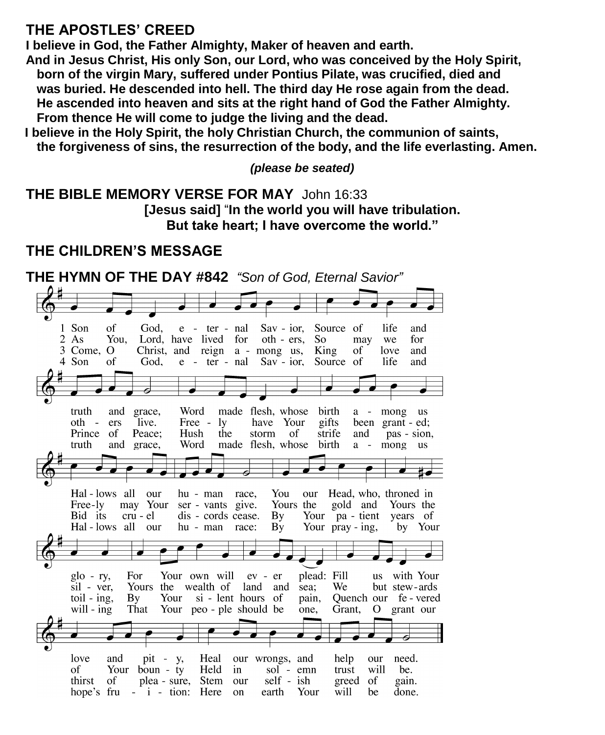#### **THE APOSTLES' CREED**

**I believe in God, the Father Almighty, Maker of heaven and earth.**

**And in Jesus Christ, His only Son, our Lord, who was conceived by the Holy Spirit, born of the virgin Mary, suffered under Pontius Pilate, was crucified, died and was buried. He descended into hell. The third day He rose again from the dead. He ascended into heaven and sits at the right hand of God the Father Almighty. From thence He will come to judge the living and the dead.**

**I believe in the Holy Spirit, the holy Christian Church, the communion of saints, the forgiveness of sins, the resurrection of the body, and the life everlasting. Amen.**

*(please be seated)*

**THE BIBLE MEMORY VERSE FOR MAY** John 16:33 **[Jesus said]** "**In the world you will have tribulation. But take heart; I have overcome the world."**

# **THE CHILDREN'S MESSAGE**